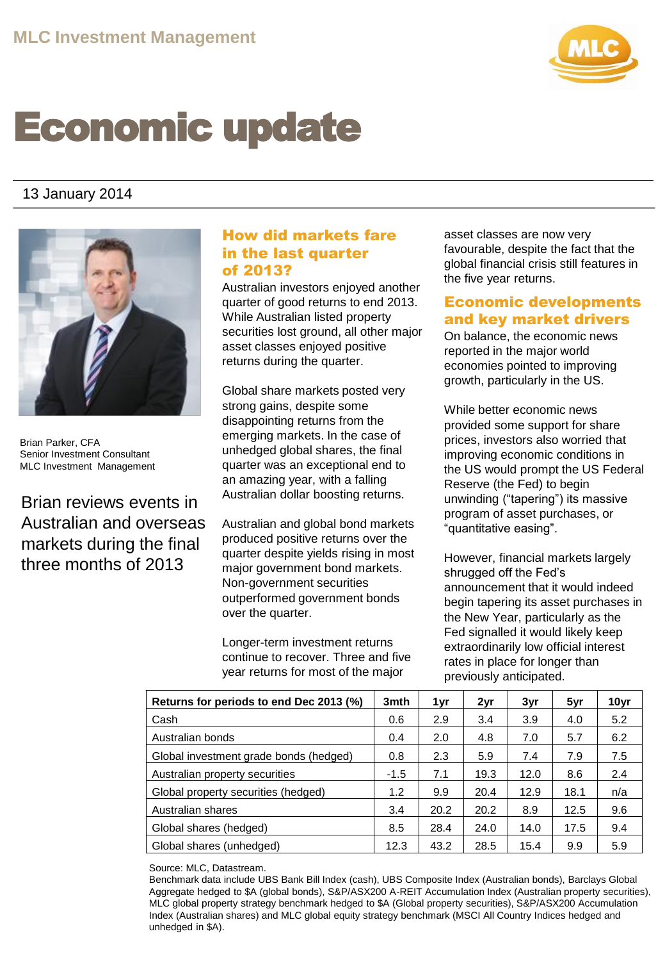

# Economic update

# 13 January 2014



Brian Parker, CFA Senior Investment Consultant MLC Investment Management

Brian reviews events in Australian and overseas markets during the final three months of 2013

## How did markets fare in the last quarter of 2013?

Australian investors enjoyed another quarter of good returns to end 2013. While Australian listed property securities lost ground, all other major asset classes enjoyed positive returns during the quarter.

Global share markets posted very strong gains, despite some disappointing returns from the emerging markets. In the case of unhedged global shares, the final quarter was an exceptional end to an amazing year, with a falling Australian dollar boosting returns.

Australian and global bond markets produced positive returns over the quarter despite yields rising in most major government bond markets. Non-government securities outperformed government bonds over the quarter.

Longer-term investment returns continue to recover. Three and five year returns for most of the major

asset classes are now very favourable, despite the fact that the global financial crisis still features in the five year returns.

### Economic developments and key market drivers

On balance, the economic news reported in the major world economies pointed to improving growth, particularly in the US.

While better economic news provided some support for share prices, investors also worried that improving economic conditions in the US would prompt the US Federal Reserve (the Fed) to begin unwinding ("tapering") its massive program of asset purchases, or "quantitative easing".

However, financial markets largely shrugged off the Fed's announcement that it would indeed begin tapering its asset purchases in the New Year, particularly as the Fed signalled it would likely keep extraordinarily low official interest rates in place for longer than previously anticipated.

| Returns for periods to end Dec 2013 (%) | 3mth   | 1yr  | 2yr  | 3yr  | 5yr  | 10yr |
|-----------------------------------------|--------|------|------|------|------|------|
| Cash                                    | 0.6    | 2.9  | 3.4  | 3.9  | 4.0  | 5.2  |
| Australian bonds                        | 0.4    | 2.0  | 4.8  | 7.0  | 5.7  | 6.2  |
| Global investment grade bonds (hedged)  | 0.8    | 2.3  | 5.9  | 7.4  | 7.9  | 7.5  |
| Australian property securities          | $-1.5$ | 7.1  | 19.3 | 12.0 | 8.6  | 2.4  |
| Global property securities (hedged)     | 1.2    | 9.9  | 20.4 | 12.9 | 18.1 | n/a  |
| Australian shares                       | 3.4    | 20.2 | 20.2 | 8.9  | 12.5 | 9.6  |
| Global shares (hedged)                  | 8.5    | 28.4 | 24.0 | 14.0 | 17.5 | 9.4  |
| Global shares (unhedged)                | 12.3   | 43.2 | 28.5 | 15.4 | 9.9  | 5.9  |

Source: MLC, Datastream.

Benchmark data include UBS Bank Bill Index (cash), UBS Composite Index (Australian bonds), Barclays Global Aggregate hedged to \$A (global bonds), S&P/ASX200 A-REIT Accumulation Index (Australian property securities), MLC global property strategy benchmark hedged to \$A (Global property securities), S&P/ASX200 Accumulation Index (Australian shares) and MLC global equity strategy benchmark (MSCI All Country Indices hedged and unhedged in \$A).